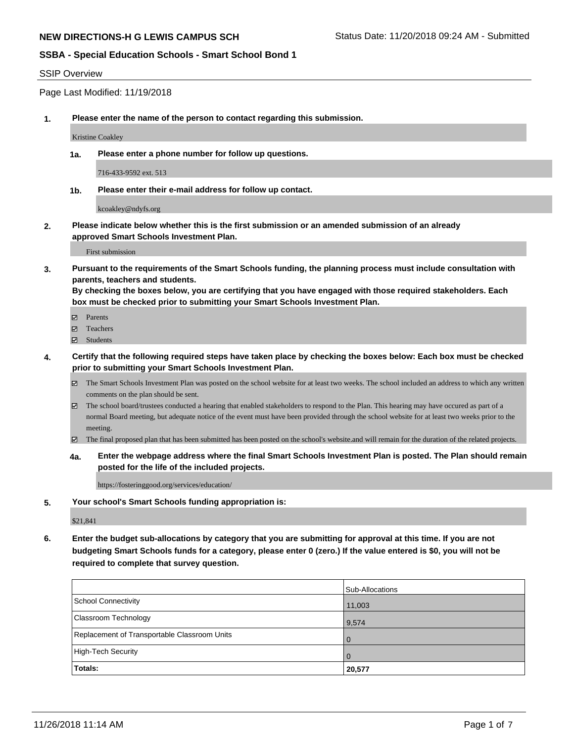#### SSIP Overview

Page Last Modified: 11/19/2018

**1. Please enter the name of the person to contact regarding this submission.**

Kristine Coakley

**1a. Please enter a phone number for follow up questions.**

716-433-9592 ext. 513

**1b. Please enter their e-mail address for follow up contact.**

kcoakley@ndyfs.org

**2. Please indicate below whether this is the first submission or an amended submission of an already approved Smart Schools Investment Plan.**

First submission

**3. Pursuant to the requirements of the Smart Schools funding, the planning process must include consultation with parents, teachers and students.**

**By checking the boxes below, you are certifying that you have engaged with those required stakeholders. Each box must be checked prior to submitting your Smart Schools Investment Plan.**

- $\blacksquare$  Parents
- Teachers
- Students
- **4. Certify that the following required steps have taken place by checking the boxes below: Each box must be checked prior to submitting your Smart Schools Investment Plan.**
	- $\boxtimes$  The Smart Schools Investment Plan was posted on the school website for at least two weeks. The school included an address to which any written comments on the plan should be sent.
	- $\boxtimes$  The school board/trustees conducted a hearing that enabled stakeholders to respond to the Plan. This hearing may have occured as part of a normal Board meeting, but adequate notice of the event must have been provided through the school website for at least two weeks prior to the meeting.
	- The final proposed plan that has been submitted has been posted on the school's website.and will remain for the duration of the related projects.
	- **4a. Enter the webpage address where the final Smart Schools Investment Plan is posted. The Plan should remain posted for the life of the included projects.**

https://fosteringgood.org/services/education/

**5. Your school's Smart Schools funding appropriation is:**

\$21,841

**6. Enter the budget sub-allocations by category that you are submitting for approval at this time. If you are not budgeting Smart Schools funds for a category, please enter 0 (zero.) If the value entered is \$0, you will not be required to complete that survey question.**

|                                              | Sub-Allocations |
|----------------------------------------------|-----------------|
| School Connectivity                          | 11,003          |
| <b>Classroom Technology</b>                  | 9,574           |
| Replacement of Transportable Classroom Units |                 |
| High-Tech Security                           |                 |
| Totals:                                      | 20,577          |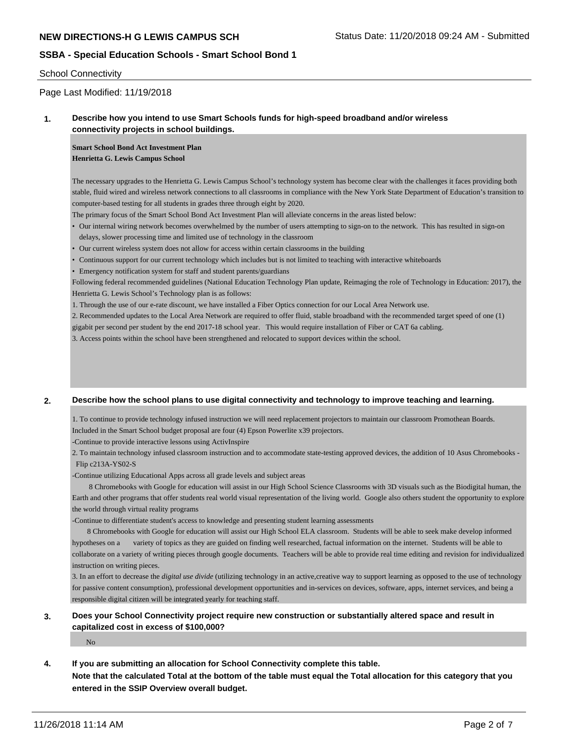## School Connectivity

# Page Last Modified: 11/19/2018

## **1. Describe how you intend to use Smart Schools funds for high-speed broadband and/or wireless connectivity projects in school buildings.**

**Smart School Bond Act Investment Plan Henrietta G. Lewis Campus School**

The necessary upgrades to the Henrietta G. Lewis Campus School's technology system has become clear with the challenges it faces providing both stable, fluid wired and wireless network connections to all classrooms in compliance with the New York State Department of Education's transition to computer-based testing for all students in grades three through eight by 2020.

The primary focus of the Smart School Bond Act Investment Plan will alleviate concerns in the areas listed below:

- Our internal wiring network becomes overwhelmed by the number of users attempting to sign-on to the network. This has resulted in sign-on delays, slower processing time and limited use of technology in the classroom
- Our current wireless system does not allow for access within certain classrooms in the building
- Continuous support for our current technology which includes but is not limited to teaching with interactive whiteboards
- Emergency notification system for staff and student parents/guardians

Following federal recommended guidelines (National Education Technology Plan update, Reimaging the role of Technology in Education: 2017), the Henrietta G. Lewis School's Technology plan is as follows:

1. Through the use of our e-rate discount, we have installed a Fiber Optics connection for our Local Area Network use.

2. Recommended updates to the Local Area Network are required to offer fluid, stable broadband with the recommended target speed of one (1) gigabit per second per student by the end 2017-18 school year. This would require installation of Fiber or CAT 6a cabling.

3. Access points within the school have been strengthened and relocated to support devices within the school.

#### **2. Describe how the school plans to use digital connectivity and technology to improve teaching and learning.**

1. To continue to provide technology infused instruction we will need replacement projectors to maintain our classroom Promothean Boards. Included in the Smart School budget proposal are four (4) Epson Powerlite x39 projectors.

-Continue to provide interactive lessons using ActivInspire

2. To maintain technology infused classroom instruction and to accommodate state-testing approved devices, the addition of 10 Asus Chromebooks - Flip c213A-YS02-S

-Continue utilizing Educational Apps across all grade levels and subject areas

 8 Chromebooks with Google for education will assist in our High School Science Classrooms with 3D visuals such as the Biodigital human, the Earth and other programs that offer students real world visual representation of the living world. Google also others student the opportunity to explore the world through virtual reality programs

-Continue to differentiate student's access to knowledge and presenting student learning assessments

 8 Chromebooks with Google for education will assist our High School ELA classroom. Students will be able to seek make develop informed hypotheses on a variety of topics as they are guided on finding well researched, factual information on the internet. Students will be able to collaborate on a variety of writing pieces through google documents. Teachers will be able to provide real time editing and revision for individualized instruction on writing pieces.

3. In an effort to decrease the *digital use divide* (utilizing technology in an active,creative way to support learning as opposed to the use of technology for passive content consumption), professional development opportunities and in-services on devices, software, apps, internet services, and being a responsible digital citizen will be integrated yearly for teaching staff.

## **3. Does your School Connectivity project require new construction or substantially altered space and result in capitalized cost in excess of \$100,000?**

No

- **4. If you are submitting an allocation for School Connectivity complete this table.**
	- **Note that the calculated Total at the bottom of the table must equal the Total allocation for this category that you entered in the SSIP Overview overall budget.**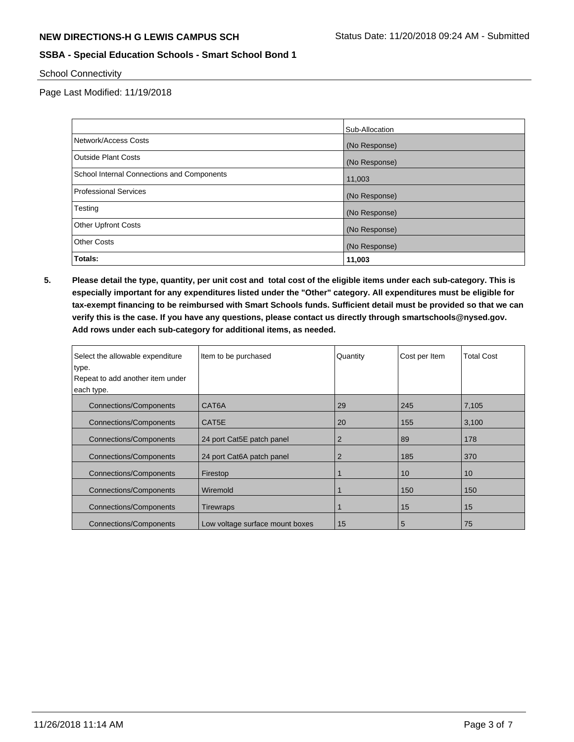School Connectivity

Page Last Modified: 11/19/2018

|                                            | Sub-Allocation |
|--------------------------------------------|----------------|
| Network/Access Costs                       | (No Response)  |
| Outside Plant Costs                        | (No Response)  |
| School Internal Connections and Components | 11,003         |
| Professional Services                      | (No Response)  |
| Testing                                    | (No Response)  |
| <b>Other Upfront Costs</b>                 | (No Response)  |
| <b>Other Costs</b>                         | (No Response)  |
| Totals:                                    | 11,003         |

**5. Please detail the type, quantity, per unit cost and total cost of the eligible items under each sub-category. This is especially important for any expenditures listed under the "Other" category. All expenditures must be eligible for tax-exempt financing to be reimbursed with Smart Schools funds. Sufficient detail must be provided so that we can verify this is the case. If you have any questions, please contact us directly through smartschools@nysed.gov. Add rows under each sub-category for additional items, as needed.**

| Select the allowable expenditure<br>type.<br>Repeat to add another item under<br>each type. | Item to be purchased            | Quantity       | Cost per Item | <b>Total Cost</b> |
|---------------------------------------------------------------------------------------------|---------------------------------|----------------|---------------|-------------------|
| <b>Connections/Components</b>                                                               | CAT6A                           | 29             | 245           | 7,105             |
| <b>Connections/Components</b>                                                               | CAT5E                           | 20             | 155           | 3,100             |
| <b>Connections/Components</b>                                                               | 24 port Cat5E patch panel       | 2              | 89            | 178               |
| <b>Connections/Components</b>                                                               | 24 port Cat6A patch panel       | $\overline{2}$ | 185           | 370               |
| <b>Connections/Components</b>                                                               | Firestop                        |                | 10            | 10 <sup>°</sup>   |
| <b>Connections/Components</b>                                                               | Wiremold                        |                | 150           | 150               |
| <b>Connections/Components</b>                                                               | Tirewraps                       |                | 15            | 15                |
| Connections/Components                                                                      | Low voltage surface mount boxes | 15             | 5             | 75                |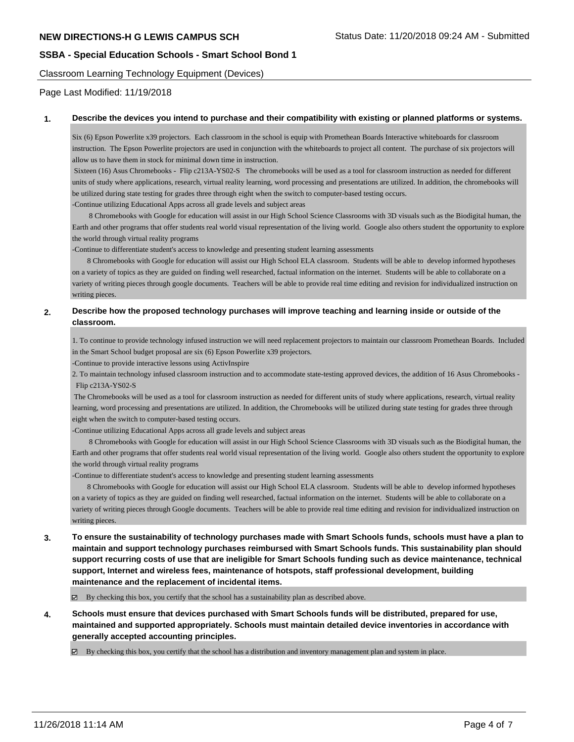Classroom Learning Technology Equipment (Devices)

Page Last Modified: 11/19/2018

#### **1. Describe the devices you intend to purchase and their compatibility with existing or planned platforms or systems.**

Six (6) Epson Powerlite x39 projectors. Each classroom in the school is equip with Promethean Boards Interactive whiteboards for classroom instruction. The Epson Powerlite projectors are used in conjunction with the whiteboards to project all content. The purchase of six projectors will allow us to have them in stock for minimal down time in instruction.

 Sixteen (16) Asus Chromebooks - Flip c213A-YS02-S The chromebooks will be used as a tool for classroom instruction as needed for different units of study where applications, research, virtual reality learning, word processing and presentations are utilized. In addition, the chromebooks will be utilized during state testing for grades three through eight when the switch to computer-based testing occurs.

-Continue utilizing Educational Apps across all grade levels and subject areas

 8 Chromebooks with Google for education will assist in our High School Science Classrooms with 3D visuals such as the Biodigital human, the Earth and other programs that offer students real world visual representation of the living world. Google also others student the opportunity to explore the world through virtual reality programs

-Continue to differentiate student's access to knowledge and presenting student learning assessments

 8 Chromebooks with Google for education will assist our High School ELA classroom. Students will be able to develop informed hypotheses on a variety of topics as they are guided on finding well researched, factual information on the internet. Students will be able to collaborate on a variety of writing pieces through google documents. Teachers will be able to provide real time editing and revision for individualized instruction on writing pieces.

## **2. Describe how the proposed technology purchases will improve teaching and learning inside or outside of the classroom.**

1. To continue to provide technology infused instruction we will need replacement projectors to maintain our classroom Promethean Boards. Included in the Smart School budget proposal are six (6) Epson Powerlite x39 projectors.

-Continue to provide interactive lessons using ActivInspire

2. To maintain technology infused classroom instruction and to accommodate state-testing approved devices, the addition of 16 Asus Chromebooks - Flip c213A-YS02-S

 The Chromebooks will be used as a tool for classroom instruction as needed for different units of study where applications, research, virtual reality learning, word processing and presentations are utilized. In addition, the Chromebooks will be utilized during state testing for grades three through eight when the switch to computer-based testing occurs.

-Continue utilizing Educational Apps across all grade levels and subject areas

 8 Chromebooks with Google for education will assist in our High School Science Classrooms with 3D visuals such as the Biodigital human, the Earth and other programs that offer students real world visual representation of the living world. Google also others student the opportunity to explore the world through virtual reality programs

-Continue to differentiate student's access to knowledge and presenting student learning assessments

 8 Chromebooks with Google for education will assist our High School ELA classroom. Students will be able to develop informed hypotheses on a variety of topics as they are guided on finding well researched, factual information on the internet. Students will be able to collaborate on a variety of writing pieces through Google documents. Teachers will be able to provide real time editing and revision for individualized instruction on writing pieces.

**3. To ensure the sustainability of technology purchases made with Smart Schools funds, schools must have a plan to maintain and support technology purchases reimbursed with Smart Schools funds. This sustainability plan should support recurring costs of use that are ineligible for Smart Schools funding such as device maintenance, technical support, Internet and wireless fees, maintenance of hotspots, staff professional development, building maintenance and the replacement of incidental items.**

 $\boxtimes$  By checking this box, you certify that the school has a sustainability plan as described above.

**4. Schools must ensure that devices purchased with Smart Schools funds will be distributed, prepared for use, maintained and supported appropriately. Schools must maintain detailed device inventories in accordance with generally accepted accounting principles.**

By checking this box, you certify that the school has a distribution and inventory management plan and system in place.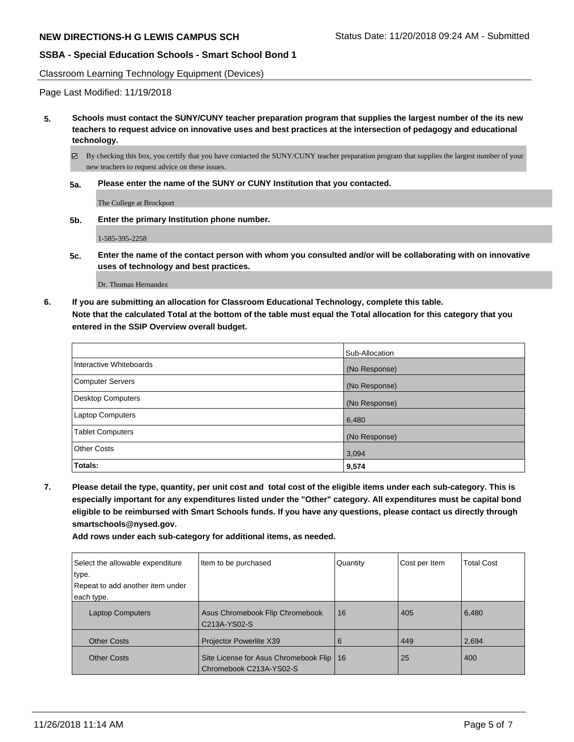Classroom Learning Technology Equipment (Devices)

Page Last Modified: 11/19/2018

**5. Schools must contact the SUNY/CUNY teacher preparation program that supplies the largest number of the its new teachers to request advice on innovative uses and best practices at the intersection of pedagogy and educational technology.**

 $\boxtimes$  By checking this box, you certify that you have contacted the SUNY/CUNY teacher preparation program that supplies the largest number of your new teachers to request advice on these issues.

**5a. Please enter the name of the SUNY or CUNY Institution that you contacted.**

The College at Brockport

**5b. Enter the primary Institution phone number.**

1-585-395-2258

**5c. Enter the name of the contact person with whom you consulted and/or will be collaborating with on innovative uses of technology and best practices.**

Dr. Thomas Hernandez

**6. If you are submitting an allocation for Classroom Educational Technology, complete this table. Note that the calculated Total at the bottom of the table must equal the Total allocation for this category that you entered in the SSIP Overview overall budget.**

|                          | Sub-Allocation |
|--------------------------|----------------|
| Interactive Whiteboards  | (No Response)  |
| <b>Computer Servers</b>  | (No Response)  |
| <b>Desktop Computers</b> | (No Response)  |
| Laptop Computers         | 6,480          |
| <b>Tablet Computers</b>  | (No Response)  |
| <b>Other Costs</b>       | 3,094          |
| Totals:                  | 9,574          |

**7. Please detail the type, quantity, per unit cost and total cost of the eligible items under each sub-category. This is especially important for any expenditures listed under the "Other" category. All expenditures must be capital bond eligible to be reimbursed with Smart Schools funds. If you have any questions, please contact us directly through smartschools@nysed.gov.**

**Add rows under each sub-category for additional items, as needed.**

| Select the allowable expenditure<br>type.<br>Repeat to add another item under<br>each type. | Item to be purchased                                                  | Quantity | Cost per Item | <b>Total Cost</b> |
|---------------------------------------------------------------------------------------------|-----------------------------------------------------------------------|----------|---------------|-------------------|
| <b>Laptop Computers</b>                                                                     | Asus Chromebook Flip Chromebook<br>C213A-YS02-S                       | 16       | 405           | 6,480             |
| <b>Other Costs</b>                                                                          | Projector Powerlite X39                                               | 6        | 449           | 2,694             |
| <b>Other Costs</b>                                                                          | Site License for Asus Chromebook Flip   16<br>Chromebook C213A-YS02-S |          | 25            | 400               |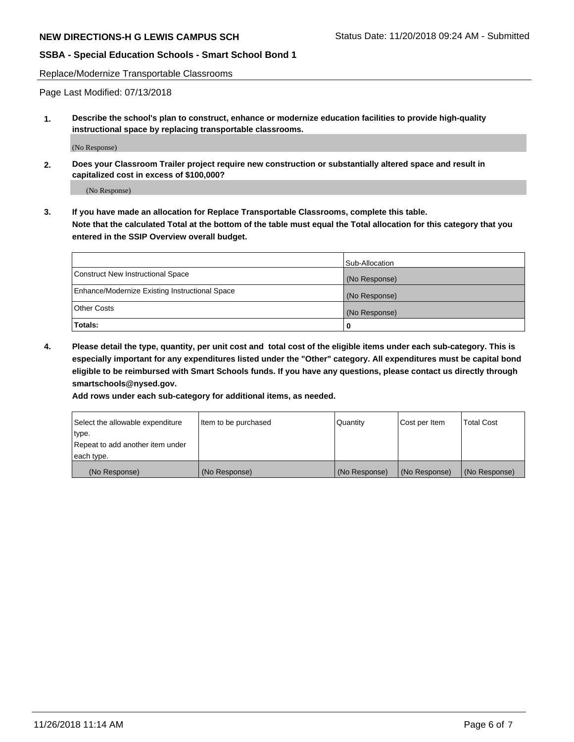Replace/Modernize Transportable Classrooms

Page Last Modified: 07/13/2018

**1. Describe the school's plan to construct, enhance or modernize education facilities to provide high-quality instructional space by replacing transportable classrooms.**

(No Response)

**2. Does your Classroom Trailer project require new construction or substantially altered space and result in capitalized cost in excess of \$100,000?**

(No Response)

**3. If you have made an allocation for Replace Transportable Classrooms, complete this table. Note that the calculated Total at the bottom of the table must equal the Total allocation for this category that you entered in the SSIP Overview overall budget.**

|                                                | Sub-Allocation |
|------------------------------------------------|----------------|
| Construct New Instructional Space              | (No Response)  |
| Enhance/Modernize Existing Instructional Space | (No Response)  |
| Other Costs                                    | (No Response)  |
| Totals:                                        | 0              |

**4. Please detail the type, quantity, per unit cost and total cost of the eligible items under each sub-category. This is especially important for any expenditures listed under the "Other" category. All expenditures must be capital bond eligible to be reimbursed with Smart Schools funds. If you have any questions, please contact us directly through smartschools@nysed.gov.**

**Add rows under each sub-category for additional items, as needed.**

| Select the allowable expenditure | Item to be purchased | Quantity      | Cost per Item | Total Cost    |
|----------------------------------|----------------------|---------------|---------------|---------------|
| type.                            |                      |               |               |               |
| Repeat to add another item under |                      |               |               |               |
| each type.                       |                      |               |               |               |
| (No Response)                    | (No Response)        | (No Response) | (No Response) | (No Response) |